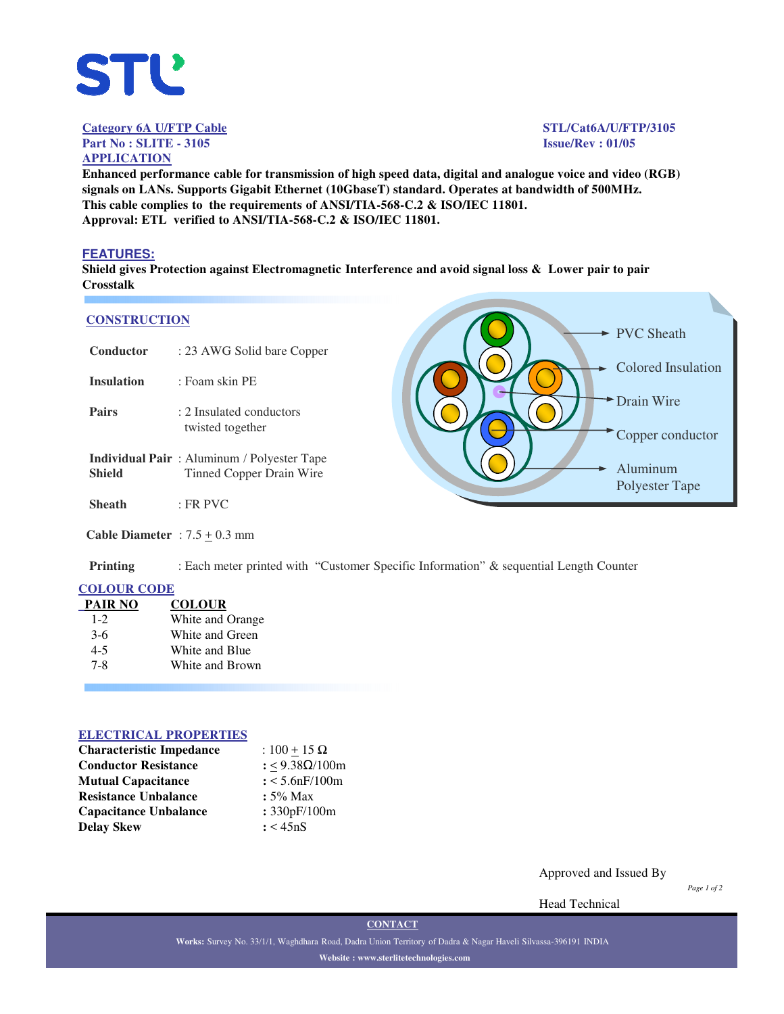

**Category 6A U/FTP Cable STL/Cat6A/U/FTP/3105 Part No : SLITE - 3105 Issue/Rev : 01/05**

# **APPLICATION**

PVC Sheath

Drain Wire

Aluminum Polyester Tape

Colored Insulation

Copper conductor

**Enhanced performance cable for transmission of high speed data, digital and analogue voice and video (RGB) signals on LANs. Supports Gigabit Ethernet (10GbaseT) standard. Operates at bandwidth of 500MHz. This cable complies to the requirements of ANSI/TIA-568-C.2 & ISO/IEC 11801. Approval: ETL verified to ANSI/TIA-568-C.2 & ISO/IEC 11801.**

#### **FEATURES:**

**Shield gives Protection against Electromagnetic Interference and avoid signal loss & Lower pair to pair Crosstalk**

#### **CONSTRUCTION**

| Conductor                                | : 23 AWG Solid bare Copper                                                    |  |
|------------------------------------------|-------------------------------------------------------------------------------|--|
| <b>Insulation</b>                        | : Foam skin PE                                                                |  |
| <b>Pairs</b>                             | : 2 Insulated conductors<br>twisted together                                  |  |
| <b>Shield</b>                            | <b>Individual Pair:</b> Aluminum / Polyester Tape<br>Tinned Copper Drain Wire |  |
| <b>Sheath</b>                            | $:$ FR PVC                                                                    |  |
| <b>Cable Diameter</b> : $7.5 \pm 0.3$ mm |                                                                               |  |

**Printing** : Each meter printed with "Customer Specific Information" & sequential Length Counter

### **COLOUR CODE**

| <b>PAIR NO</b> | <b>COLOUR</b>    |
|----------------|------------------|
| $1 - 2$        | White and Orange |
| $3-6$          | White and Green  |
| $4 - 5$        | White and Blue   |
| $7 - 8$        | White and Brown  |
|                |                  |

#### **ELECTRICAL PROPERTIES**

| <b>Characteristic Impedance</b> | : $100 + 15 \Omega$ |
|---------------------------------|---------------------|
| <b>Conductor Resistance</b>     | : <9.38Ω/100m       |
| <b>Mutual Capacitance</b>       | $: < 5.6$ nF/100m   |
| <b>Resistance Unbalance</b>     | $: 5\%$ Max         |
| <b>Capacitance Unbalance</b>    | : 330pF/100m        |
| <b>Delay Skew</b>               | : < 45nS            |

Approved and Issued By

*Page 1 of 2*

Head Technical

**CONTACT**

**Works:** Survey No. 33/1/1, Waghdhara Road, Dadra Union Territory of Dadra & Nagar Haveli Silvassa-396191 INDIA **Website : www.sterlitetechnologies.com**